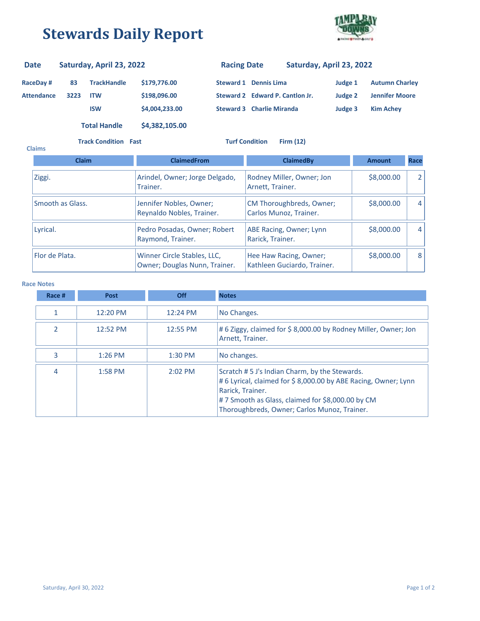## **Stewards Daily Report**



## **RaceDay # 83 Attendance 3223 TrackHandle \$179,776.00 ITW \$198,096.00 ISW \$4,004,233.00 Steward 2 Edward P. Cantlon Jr. Steward 3 Charlie Miranda Judge 3 Kim Achey Judge 2 Jennifer Moore Steward 1 Dennis Lima Judge 1 Autumn Charley Date Saturday, April 23, 2022 Racing Date Saturday, April 23, 2022 Total Handle \$4,382,105.00**

**Track Condition Fast Turf Condition Firm (12)**

| <b>Claims</b>    |              |                                                              |                                                       |               |                |  |
|------------------|--------------|--------------------------------------------------------------|-------------------------------------------------------|---------------|----------------|--|
|                  | <b>Claim</b> | <b>ClaimedFrom</b>                                           | <b>ClaimedBv</b>                                      | <b>Amount</b> | Race           |  |
| Ziggi.           |              | Arindel, Owner; Jorge Delgado,<br>Trainer.                   | Rodney Miller, Owner; Jon<br>Arnett, Trainer.         | \$8,000.00    | $\overline{2}$ |  |
| Smooth as Glass. |              | Jennifer Nobles, Owner;<br>Reynaldo Nobles, Trainer.         | CM Thoroughbreds, Owner;<br>Carlos Munoz, Trainer.    | \$8,000.00    | 4              |  |
| Lyrical.         |              | Pedro Posadas, Owner; Robert<br>Raymond, Trainer.            | ABE Racing, Owner; Lynn<br>Rarick, Trainer.           | \$8,000.00    | 4              |  |
| Flor de Plata.   |              | Winner Circle Stables, LLC,<br>Owner; Douglas Nunn, Trainer. | Hee Haw Racing, Owner;<br>Kathleen Guciardo, Trainer. | \$8,000.00    | 8              |  |

## **Race Notes**

| Race # | Post      | <b>Off</b> | <b>Notes</b>                                                                                                                                                                                                                            |
|--------|-----------|------------|-----------------------------------------------------------------------------------------------------------------------------------------------------------------------------------------------------------------------------------------|
|        | 12:20 PM  | 12:24 PM   | No Changes.                                                                                                                                                                                                                             |
|        | 12:52 PM  | 12:55 PM   | #6 Ziggy, claimed for \$8,000.00 by Rodney Miller, Owner; Jon<br>Arnett, Trainer.                                                                                                                                                       |
| 3      | $1:26$ PM | $1:30$ PM  | No changes.                                                                                                                                                                                                                             |
| 4      | 1:58 PM   | $2:02$ PM  | Scratch # 5 J's Indian Charm, by the Stewards.<br>#6 Lyrical, claimed for \$8,000.00 by ABE Racing, Owner; Lynn<br>Rarick, Trainer.<br>#7 Smooth as Glass, claimed for \$8,000.00 by CM<br>Thoroughbreds, Owner; Carlos Munoz, Trainer. |